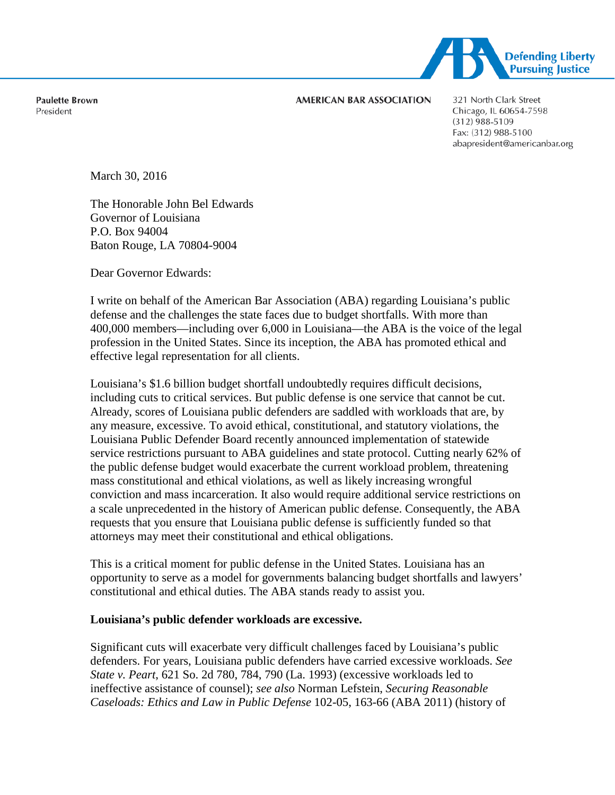

**Paulette Brown** President

#### **AMERICAN BAR ASSOCIATION**

321 North Clark Street Chicago, IL 60654-7598 (312) 988-5109 Fax: (312) 988-5100 abapresident@americanbar.org

March 30, 2016

The Honorable John Bel Edwards Governor of Louisiana P.O. Box 94004 Baton Rouge, LA 70804-9004

Dear Governor Edwards:

I write on behalf of the American Bar Association (ABA) regarding Louisiana's public defense and the challenges the state faces due to budget shortfalls. With more than 400,000 members—including over 6,000 in Louisiana—the ABA is the voice of the legal profession in the United States. Since its inception, the ABA has promoted ethical and effective legal representation for all clients.

Louisiana's \$1.6 billion budget shortfall undoubtedly requires difficult decisions, including cuts to critical services. But public defense is one service that cannot be cut. Already, scores of Louisiana public defenders are saddled with workloads that are, by any measure, excessive. To avoid ethical, constitutional, and statutory violations, the Louisiana Public Defender Board recently announced implementation of statewide service restrictions pursuant to ABA guidelines and state protocol. Cutting nearly 62% of the public defense budget would exacerbate the current workload problem, threatening mass constitutional and ethical violations, as well as likely increasing wrongful conviction and mass incarceration. It also would require additional service restrictions on a scale unprecedented in the history of American public defense. Consequently, the ABA requests that you ensure that Louisiana public defense is sufficiently funded so that attorneys may meet their constitutional and ethical obligations.

This is a critical moment for public defense in the United States. Louisiana has an opportunity to serve as a model for governments balancing budget shortfalls and lawyers' constitutional and ethical duties. The ABA stands ready to assist you.

# **Louisiana's public defender workloads are excessive.**

Significant cuts will exacerbate very difficult challenges faced by Louisiana's public defenders. For years, Louisiana public defenders have carried excessive workloads. *See State v. Peart*, 621 So. 2d 780, 784, 790 (La. 1993) (excessive workloads led to ineffective assistance of counsel); *see also* Norman Lefstein, *Securing Reasonable Caseloads: Ethics and Law in Public Defense* 102-05, 163-66 (ABA 2011) (history of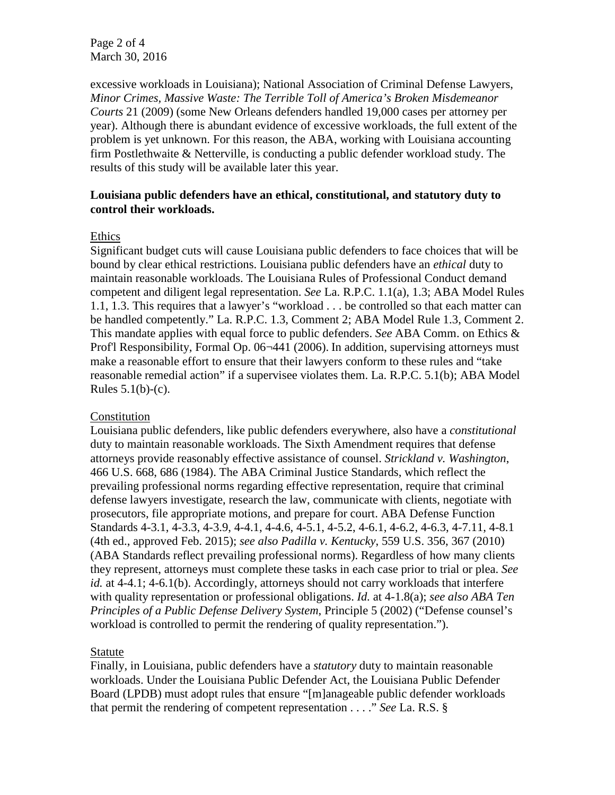Page 2 of 4 March 30, 2016

excessive workloads in Louisiana); National Association of Criminal Defense Lawyers, *Minor Crimes, Massive Waste: The Terrible Toll of America's Broken Misdemeanor Courts* 21 (2009) (some New Orleans defenders handled 19,000 cases per attorney per year). Although there is abundant evidence of excessive workloads, the full extent of the problem is yet unknown. For this reason, the ABA, working with Louisiana accounting firm Postlethwaite & Netterville, is conducting a public defender workload study. The results of this study will be available later this year.

### **Louisiana public defenders have an ethical, constitutional, and statutory duty to control their workloads.**

### Ethics

Significant budget cuts will cause Louisiana public defenders to face choices that will be bound by clear ethical restrictions. Louisiana public defenders have an *ethical* duty to maintain reasonable workloads. The Louisiana Rules of Professional Conduct demand competent and diligent legal representation. *See* La. R.P.C. 1.1(a), 1.3; ABA Model Rules 1.1, 1.3. This requires that a lawyer's "workload . . . be controlled so that each matter can be handled competently." La. R.P.C. 1.3, Comment 2; ABA Model Rule 1.3, Comment 2. This mandate applies with equal force to public defenders. *See* ABA Comm. on Ethics & Prof'l Responsibility, Formal Op. 06-441 (2006). In addition, supervising attorneys must make a reasonable effort to ensure that their lawyers conform to these rules and "take reasonable remedial action" if a supervisee violates them. La. R.P.C. 5.1(b); ABA Model Rules  $5.1(b)-(c)$ .

### Constitution

Louisiana public defenders, like public defenders everywhere, also have a *constitutional* duty to maintain reasonable workloads. The Sixth Amendment requires that defense attorneys provide reasonably effective assistance of counsel. *Strickland v. Washington*, 466 U.S. 668, 686 (1984). The ABA Criminal Justice Standards, which reflect the prevailing professional norms regarding effective representation, require that criminal defense lawyers investigate, research the law, communicate with clients, negotiate with prosecutors, file appropriate motions, and prepare for court. ABA Defense Function Standards 4-3.1, 4-3.3, 4-3.9, 4-4.1, 4-4.6, 4-5.1, 4-5.2, 4-6.1, 4-6.2, 4-6.3, 4-7.11, 4-8.1 (4th ed., approved Feb. 2015); *see also Padilla v. Kentucky*, 559 U.S. 356, 367 (2010) (ABA Standards reflect prevailing professional norms). Regardless of how many clients they represent, attorneys must complete these tasks in each case prior to trial or plea. *See id.* at 4-4.1; 4-6.1(b). Accordingly, attorneys should not carry workloads that interfere with quality representation or professional obligations. *Id.* at 4-1.8(a); *see also ABA Ten Principles of a Public Defense Delivery System*, Principle 5 (2002) ("Defense counsel's workload is controlled to permit the rendering of quality representation.").

### Statute

Finally, in Louisiana, public defenders have a *statutory* duty to maintain reasonable workloads. Under the Louisiana Public Defender Act, the Louisiana Public Defender Board (LPDB) must adopt rules that ensure "[m]anageable public defender workloads that permit the rendering of competent representation . . . ." *See* La. R.S. §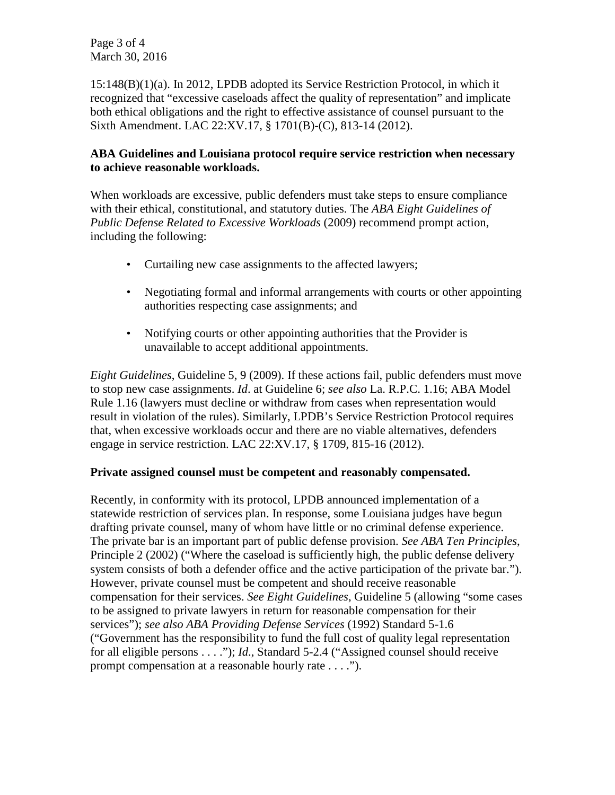Page 3 of 4 March 30, 2016

15:148(B)(1)(a). In 2012, LPDB adopted its Service Restriction Protocol, in which it recognized that "excessive caseloads affect the quality of representation" and implicate both ethical obligations and the right to effective assistance of counsel pursuant to the Sixth Amendment. LAC 22:XV.17, § 1701(B)-(C), 813-14 (2012).

# **ABA Guidelines and Louisiana protocol require service restriction when necessary to achieve reasonable workloads.**

When workloads are excessive, public defenders must take steps to ensure compliance with their ethical, constitutional, and statutory duties. The *ABA Eight Guidelines of Public Defense Related to Excessive Workloads* (2009) recommend prompt action, including the following:

- Curtailing new case assignments to the affected lawyers;
- Negotiating formal and informal arrangements with courts or other appointing authorities respecting case assignments; and
- Notifying courts or other appointing authorities that the Provider is unavailable to accept additional appointments.

*Eight Guidelines*, Guideline 5, 9 (2009). If these actions fail, public defenders must move to stop new case assignments. *Id*. at Guideline 6; *see also* La. R.P.C. 1.16; ABA Model Rule 1.16 (lawyers must decline or withdraw from cases when representation would result in violation of the rules). Similarly, LPDB's Service Restriction Protocol requires that, when excessive workloads occur and there are no viable alternatives, defenders engage in service restriction. LAC 22:XV.17, § 1709, 815-16 (2012).

# **Private assigned counsel must be competent and reasonably compensated.**

Recently, in conformity with its protocol, LPDB announced implementation of a statewide restriction of services plan. In response, some Louisiana judges have begun drafting private counsel, many of whom have little or no criminal defense experience. The private bar is an important part of public defense provision. *See ABA Ten Principles*, Principle 2 (2002) ("Where the caseload is sufficiently high, the public defense delivery system consists of both a defender office and the active participation of the private bar."). However, private counsel must be competent and should receive reasonable compensation for their services. *See Eight Guidelines*, Guideline 5 (allowing "some cases to be assigned to private lawyers in return for reasonable compensation for their services"); *see also ABA Providing Defense Services* (1992) Standard 5-1.6 ("Government has the responsibility to fund the full cost of quality legal representation for all eligible persons . . . ."); *Id*., Standard 5-2.4 ("Assigned counsel should receive prompt compensation at a reasonable hourly rate . . . .").